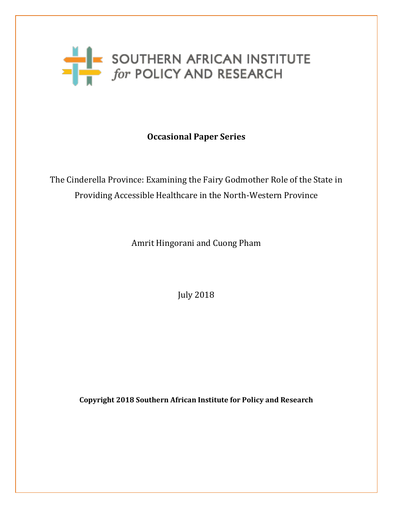

**Occasional Paper Series**

The Cinderella Province: Examining the Fairy Godmother Role of the State in Providing Accessible Healthcare in the North-Western Province

Amrit Hingorani and Cuong Pham

July 2018

**Copyright 2018 Southern African Institute for Policy and Research**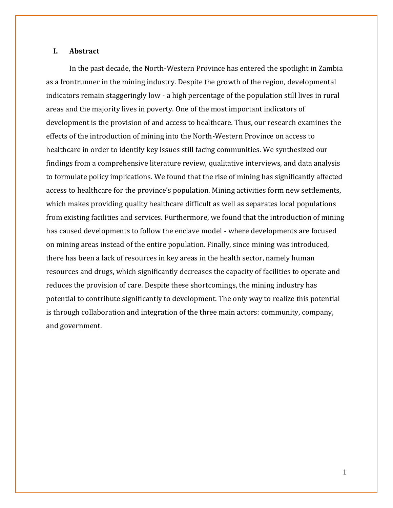## **I. Abstract**

In the past decade, the North-Western Province has entered the spotlight in Zambia as a frontrunner in the mining industry. Despite the growth of the region, developmental indicators remain staggeringly low - a high percentage of the population still lives in rural areas and the majority lives in poverty. One of the most important indicators of development is the provision of and access to healthcare. Thus, our research examines the effects of the introduction of mining into the North-Western Province on access to healthcare in order to identify key issues still facing communities. We synthesized our findings from a comprehensive literature review, qualitative interviews, and data analysis to formulate policy implications. We found that the rise of mining has significantly affected access to healthcare for the province's population. Mining activities form new settlements, which makes providing quality healthcare difficult as well as separates local populations from existing facilities and services. Furthermore, we found that the introduction of mining has caused developments to follow the enclave model - where developments are focused on mining areas instead of the entire population. Finally, since mining was introduced, there has been a lack of resources in key areas in the health sector, namely human resources and drugs, which significantly decreases the capacity of facilities to operate and reduces the provision of care. Despite these shortcomings, the mining industry has potential to contribute significantly to development. The only way to realize this potential is through collaboration and integration of the three main actors: community, company, and government.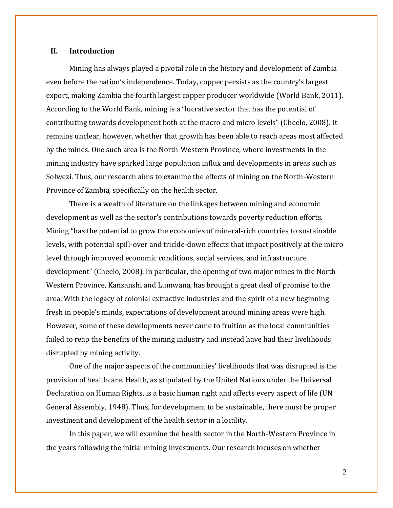#### **II. Introduction**

Mining has always played a pivotal role in the history and development of Zambia even before the nation's independence. Today, copper persists as the country's largest export, making Zambia the fourth largest copper producer worldwide (World Bank, 2011). According to the World Bank, mining is a "lucrative sector that has the potential of contributing towards development both at the macro and micro levels" (Cheelo, 2008). It remains unclear, however, whether that growth has been able to reach areas most affected by the mines. One such area is the North-Western Province, where investments in the mining industry have sparked large population influx and developments in areas such as Solwezi. Thus, our research aims to examine the effects of mining on the North-Western Province of Zambia, specifically on the health sector.

There is a wealth of literature on the linkages between mining and economic development as well as the sector's contributions towards poverty reduction efforts. Mining "has the potential to grow the economies of mineral-rich countries to sustainable levels, with potential spill-over and trickle-down effects that impact positively at the micro level through improved economic conditions, social services, and infrastructure development" (Cheelo, 2008). In particular, the opening of two major mines in the North-Western Province, Kansanshi and Lumwana, has brought a great deal of promise to the area. With the legacy of colonial extractive industries and the spirit of a new beginning fresh in people's minds, expectations of development around mining areas were high. However, some of these developments never came to fruition as the local communities failed to reap the benefits of the mining industry and instead have had their livelihoods disrupted by mining activity.

One of the major aspects of the communities' livelihoods that was disrupted is the provision of healthcare. Health, as stipulated by the United Nations under the Universal Declaration on Human Rights, is a basic human right and affects every aspect of life (UN General Assembly, 1948). Thus, for development to be sustainable, there must be proper investment and development of the health sector in a locality.

In this paper, we will examine the health sector in the North-Western Province in the years following the initial mining investments. Our research focuses on whether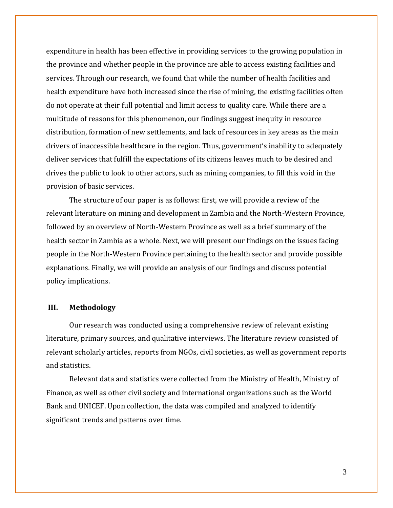expenditure in health has been effective in providing services to the growing population in the province and whether people in the province are able to access existing facilities and services. Through our research, we found that while the number of health facilities and health expenditure have both increased since the rise of mining, the existing facilities often do not operate at their full potential and limit access to quality care. While there are a multitude of reasons for this phenomenon, our findings suggest inequity in resource distribution, formation of new settlements, and lack of resources in key areas as the main drivers of inaccessible healthcare in the region. Thus, government's inability to adequately deliver services that fulfill the expectations of its citizens leaves much to be desired and drives the public to look to other actors, such as mining companies, to fill this void in the provision of basic services.

The structure of our paper is as follows: first, we will provide a review of the relevant literature on mining and development in Zambia and the North-Western Province, followed by an overview of North-Western Province as well as a brief summary of the health sector in Zambia as a whole. Next, we will present our findings on the issues facing people in the North-Western Province pertaining to the health sector and provide possible explanations. Finally, we will provide an analysis of our findings and discuss potential policy implications.

# **III. Methodology**

Our research was conducted using a comprehensive review of relevant existing literature, primary sources, and qualitative interviews. The literature review consisted of relevant scholarly articles, reports from NGOs, civil societies, as well as government reports and statistics.

Relevant data and statistics were collected from the Ministry of Health, Ministry of Finance, as well as other civil society and international organizations such as the World Bank and UNICEF. Upon collection, the data was compiled and analyzed to identify significant trends and patterns over time.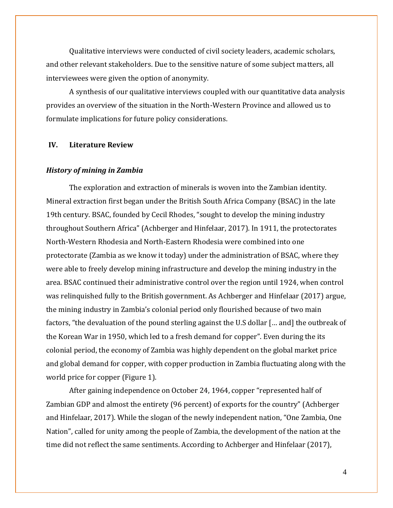Qualitative interviews were conducted of civil society leaders, academic scholars, and other relevant stakeholders. Due to the sensitive nature of some subject matters, all interviewees were given the option of anonymity.

A synthesis of our qualitative interviews coupled with our quantitative data analysis provides an overview of the situation in the North-Western Province and allowed us to formulate implications for future policy considerations.

## **IV. Literature Review**

#### *History of mining in Zambia*

The exploration and extraction of minerals is woven into the Zambian identity. Mineral extraction first began under the British South Africa Company (BSAC) in the late 19th century. BSAC, founded by Cecil Rhodes, "sought to develop the mining industry throughout Southern Africa" (Achberger and Hinfelaar, 2017). In 1911, the protectorates North-Western Rhodesia and North-Eastern Rhodesia were combined into one protectorate (Zambia as we know it today) under the administration of BSAC, where they were able to freely develop mining infrastructure and develop the mining industry in the area. BSAC continued their administrative control over the region until 1924, when control was relinquished fully to the British government. As Achberger and Hinfelaar (2017) argue, the mining industry in Zambia's colonial period only flourished because of two main factors, "the devaluation of the pound sterling against the U.S dollar [… and] the outbreak of the Korean War in 1950, which led to a fresh demand for copper". Even during the its colonial period, the economy of Zambia was highly dependent on the global market price and global demand for copper, with copper production in Zambia fluctuating along with the world price for copper (Figure 1).

After gaining independence on October 24, 1964, copper "represented half of Zambian GDP and almost the entirety (96 percent) of exports for the country" (Achberger and Hinfelaar, 2017). While the slogan of the newly independent nation, "One Zambia, One Nation", called for unity among the people of Zambia, the development of the nation at the time did not reflect the same sentiments. According to Achberger and Hinfelaar (2017),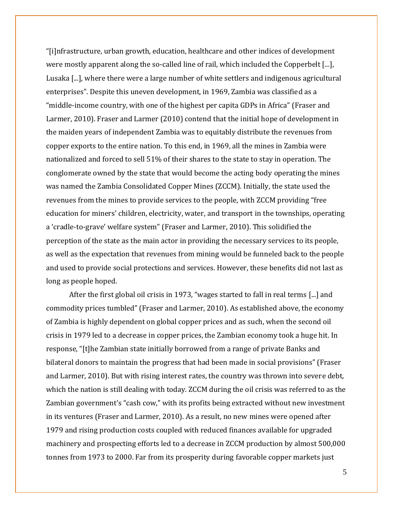"[i]nfrastructure, urban growth, education, healthcare and other indices of development were mostly apparent along the so-called line of rail, which included the Copperbelt [...], Lusaka [...], where there were a large number of white settlers and indigenous agricultural enterprises". Despite this uneven development, in 1969, Zambia was classified as a "middle-income country, with one of the highest per capita GDPs in Africa" (Fraser and Larmer, 2010). Fraser and Larmer (2010) contend that the initial hope of development in the maiden years of independent Zambia was to equitably distribute the revenues from copper exports to the entire nation. To this end, in 1969, all the mines in Zambia were nationalized and forced to sell 51% of their shares to the state to stay in operation. The conglomerate owned by the state that would become the acting body operating the mines was named the Zambia Consolidated Copper Mines (ZCCM). Initially, the state used the revenues from the mines to provide services to the people, with ZCCM providing "free education for miners' children, electricity, water, and transport in the townships, operating a 'cradle-to-grave' welfare system" (Fraser and Larmer, 2010). This solidified the perception of the state as the main actor in providing the necessary services to its people, as well as the expectation that revenues from mining would be funneled back to the people and used to provide social protections and services. However, these benefits did not last as long as people hoped.

After the first global oil crisis in 1973, "wages started to fall in real terms [...] and commodity prices tumbled" (Fraser and Larmer, 2010). As established above, the economy of Zambia is highly dependent on global copper prices and as such, when the second oil crisis in 1979 led to a decrease in copper prices, the Zambian economy took a huge hit. In response, "[t]he Zambian state initially borrowed from a range of private Banks and bilateral donors to maintain the progress that had been made in social provisions" (Fraser and Larmer, 2010). But with rising interest rates, the country was thrown into severe debt, which the nation is still dealing with today. ZCCM during the oil crisis was referred to as the Zambian government's "cash cow," with its profits being extracted without new investment in its ventures (Fraser and Larmer, 2010). As a result, no new mines were opened after 1979 and rising production costs coupled with reduced finances available for upgraded machinery and prospecting efforts led to a decrease in ZCCM production by almost 500,000 tonnes from 1973 to 2000. Far from its prosperity during favorable copper markets just

5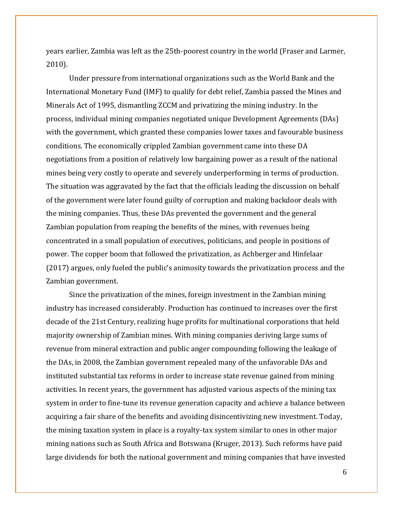years earlier, Zambia was left as the 25th-poorest country in the world (Fraser and Larmer, 2010).

Under pressure from international organizations such as the World Bank and the International Monetary Fund (IMF) to qualify for debt relief, Zambia passed the Mines and Minerals Act of 1995, dismantling ZCCM and privatizing the mining industry. In the process, individual mining companies negotiated unique Development Agreements (DAs) with the government, which granted these companies lower taxes and favourable business conditions. The economically crippled Zambian government came into these DA negotiations from a position of relatively low bargaining power as a result of the national mines being very costly to operate and severely underperforming in terms of production. The situation was aggravated by the fact that the officials leading the discussion on behalf of the government were later found guilty of corruption and making backdoor deals with the mining companies. Thus, these DAs prevented the government and the general Zambian population from reaping the benefits of the mines, with revenues being concentrated in a small population of executives, politicians, and people in positions of power. The copper boom that followed the privatization, as Achberger and Hinfelaar (2017) argues, only fueled the public's animosity towards the privatization process and the Zambian government.

Since the privatization of the mines, foreign investment in the Zambian mining industry has increased considerably. Production has continued to increases over the first decade of the 21st Century, realizing huge profits for multinational corporations that held majority ownership of Zambian mines. With mining companies deriving large sums of revenue from mineral extraction and public anger compounding following the leakage of the DAs, in 2008, the Zambian government repealed many of the unfavorable DAs and instituted substantial tax reforms in order to increase state revenue gained from mining activities. In recent years, the government has adjusted various aspects of the mining tax system in order to fine-tune its revenue generation capacity and achieve a balance between acquiring a fair share of the benefits and avoiding disincentivizing new investment. Today, the mining taxation system in place is a royalty-tax system similar to ones in other major mining nations such as South Africa and Botswana (Kruger, 2013). Such reforms have paid large dividends for both the national government and mining companies that have invested

6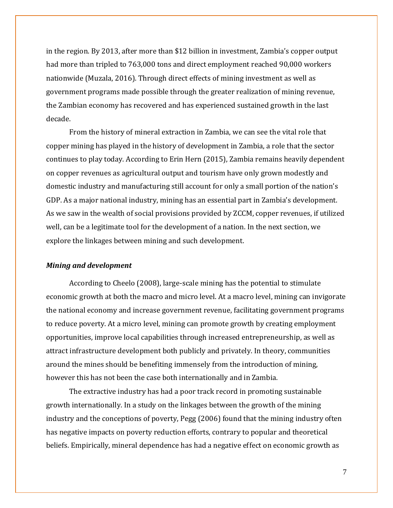in the region. By 2013, after more than \$12 billion in investment, Zambia's copper output had more than tripled to 763,000 tons and direct employment reached 90,000 workers nationwide (Muzala, 2016). Through direct effects of mining investment as well as government programs made possible through the greater realization of mining revenue, the Zambian economy has recovered and has experienced sustained growth in the last decade.

From the history of mineral extraction in Zambia, we can see the vital role that copper mining has played in the history of development in Zambia, a role that the sector continues to play today. According to Erin Hern (2015), Zambia remains heavily dependent on copper revenues as agricultural output and tourism have only grown modestly and domestic industry and manufacturing still account for only a small portion of the nation's GDP. As a major national industry, mining has an essential part in Zambia's development. As we saw in the wealth of social provisions provided by ZCCM, copper revenues, if utilized well, can be a legitimate tool for the development of a nation. In the next section, we explore the linkages between mining and such development.

## *Mining and development*

According to Cheelo (2008), large-scale mining has the potential to stimulate economic growth at both the macro and micro level. At a macro level, mining can invigorate the national economy and increase government revenue, facilitating government programs to reduce poverty. At a micro level, mining can promote growth by creating employment opportunities, improve local capabilities through increased entrepreneurship, as well as attract infrastructure development both publicly and privately. In theory, communities around the mines should be benefiting immensely from the introduction of mining, however this has not been the case both internationally and in Zambia.

The extractive industry has had a poor track record in promoting sustainable growth internationally. In a study on the linkages between the growth of the mining industry and the conceptions of poverty, Pegg (2006) found that the mining industry often has negative impacts on poverty reduction efforts, contrary to popular and theoretical beliefs. Empirically, mineral dependence has had a negative effect on economic growth as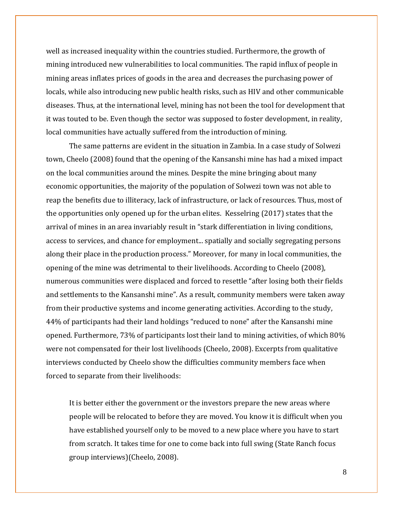well as increased inequality within the countries studied. Furthermore, the growth of mining introduced new vulnerabilities to local communities. The rapid influx of people in mining areas inflates prices of goods in the area and decreases the purchasing power of locals, while also introducing new public health risks, such as HIV and other communicable diseases. Thus, at the international level, mining has not been the tool for development that it was touted to be. Even though the sector was supposed to foster development, in reality, local communities have actually suffered from the introduction of mining.

The same patterns are evident in the situation in Zambia. In a case study of Solwezi town, Cheelo (2008) found that the opening of the Kansanshi mine has had a mixed impact on the local communities around the mines. Despite the mine bringing about many economic opportunities, the majority of the population of Solwezi town was not able to reap the benefits due to illiteracy, lack of infrastructure, or lack of resources. Thus, most of the opportunities only opened up for the urban elites. Kesselring (2017) states that the arrival of mines in an area invariably result in "stark differentiation in living conditions, access to services, and chance for employment... spatially and socially segregating persons along their place in the production process." Moreover, for many in local communities, the opening of the mine was detrimental to their livelihoods. According to Cheelo (2008), numerous communities were displaced and forced to resettle "after losing both their fields and settlements to the Kansanshi mine". As a result, community members were taken away from their productive systems and income generating activities. According to the study, 44% of participants had their land holdings "reduced to none" after the Kansanshi mine opened. Furthermore, 73% of participants lost their land to mining activities, of which 80% were not compensated for their lost livelihoods (Cheelo, 2008). Excerpts from qualitative interviews conducted by Cheelo show the difficulties community members face when forced to separate from their livelihoods:

It is better either the government or the investors prepare the new areas where people will be relocated to before they are moved. You know it is difficult when you have established yourself only to be moved to a new place where you have to start from scratch. It takes time for one to come back into full swing (State Ranch focus group interviews)(Cheelo, 2008).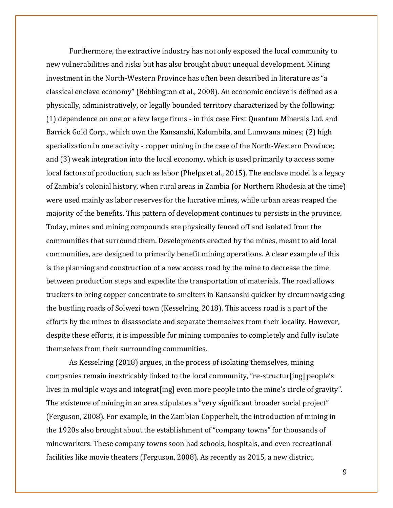Furthermore, the extractive industry has not only exposed the local community to new vulnerabilities and risks but has also brought about unequal development. Mining investment in the North-Western Province has often been described in literature as "a classical enclave economy" (Bebbington et al., 2008). An economic enclave is defined as a physically, administratively, or legally bounded territory characterized by the following: (1) dependence on one or a few large firms - in this case First Quantum Minerals Ltd. and Barrick Gold Corp., which own the Kansanshi, Kalumbila, and Lumwana mines; (2) high specialization in one activity - copper mining in the case of the North-Western Province; and (3) weak integration into the local economy, which is used primarily to access some local factors of production, such as labor (Phelps et al., 2015). The enclave model is a legacy of Zambia's colonial history, when rural areas in Zambia (or Northern Rhodesia at the time) were used mainly as labor reserves for the lucrative mines, while urban areas reaped the majority of the benefits. This pattern of development continues to persists in the province. Today, mines and mining compounds are physically fenced off and isolated from the communities that surround them. Developments erected by the mines, meant to aid local communities, are designed to primarily benefit mining operations. A clear example of this is the planning and construction of a new access road by the mine to decrease the time between production steps and expedite the transportation of materials. The road allows truckers to bring copper concentrate to smelters in Kansanshi quicker by circumnavigating the bustling roads of Solwezi town (Kesselring, 2018). This access road is a part of the efforts by the mines to disassociate and separate themselves from their locality. However, despite these efforts, it is impossible for mining companies to completely and fully isolate themselves from their surrounding communities.

As Kesselring (2018) argues, in the process of isolating themselves, mining companies remain inextricably linked to the local community, "re-structur[ing] people's lives in multiple ways and integrat [ing] even more people into the mine's circle of gravity". The existence of mining in an area stipulates a "very significant broader social project" (Ferguson, 2008). For example, in the Zambian Copperbelt, the introduction of mining in the 1920s also brought about the establishment of "company towns" for thousands of mineworkers. These company towns soon had schools, hospitals, and even recreational facilities like movie theaters (Ferguson, 2008). As recently as 2015, a new district,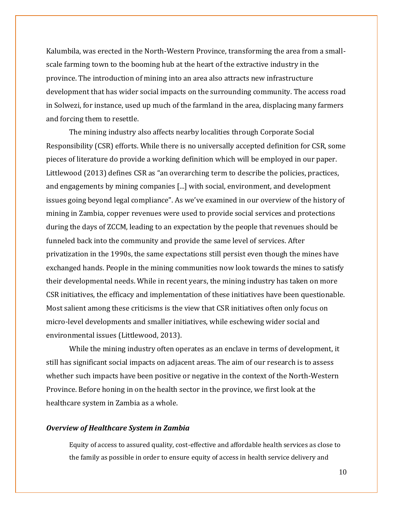Kalumbila, was erected in the North-Western Province, transforming the area from a smallscale farming town to the booming hub at the heart of the extractive industry in the province. The introduction of mining into an area also attracts new infrastructure development that has wider social impacts on the surrounding community. The access road in Solwezi, for instance, used up much of the farmland in the area, displacing many farmers and forcing them to resettle.

The mining industry also affects nearby localities through Corporate Social Responsibility (CSR) efforts. While there is no universally accepted definition for CSR, some pieces of literature do provide a working definition which will be employed in our paper. Littlewood (2013) defines CSR as "an overarching term to describe the policies, practices, and engagements by mining companies [...] with social, environment, and development issues going beyond legal compliance". As we've examined in our overview of the history of mining in Zambia, copper revenues were used to provide social services and protections during the days of ZCCM, leading to an expectation by the people that revenues should be funneled back into the community and provide the same level of services. After privatization in the 1990s, the same expectations still persist even though the mines have exchanged hands. People in the mining communities now look towards the mines to satisfy their developmental needs. While in recent years, the mining industry has taken on more CSR initiatives, the efficacy and implementation of these initiatives have been questionable. Most salient among these criticisms is the view that CSR initiatives often only focus on micro-level developments and smaller initiatives, while eschewing wider social and environmental issues (Littlewood, 2013).

While the mining industry often operates as an enclave in terms of development, it still has significant social impacts on adjacent areas. The aim of our research is to assess whether such impacts have been positive or negative in the context of the North-Western Province. Before honing in on the health sector in the province, we first look at the healthcare system in Zambia as a whole.

## *Overview of Healthcare System in Zambia*

Equity of access to assured quality, cost-effective and affordable health services as close to the family as possible in order to ensure equity of access in health service delivery and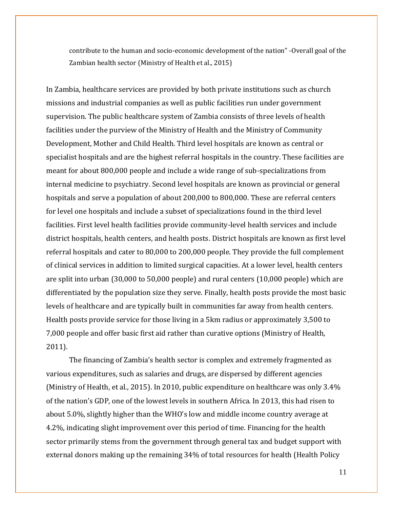contribute to the human and socio-economic development of the nation" -Overall goal of the Zambian health sector (Ministry of Health et al., 2015)

In Zambia, healthcare services are provided by both private institutions such as church missions and industrial companies as well as public facilities run under government supervision. The public healthcare system of Zambia consists of three levels of health facilities under the purview of the Ministry of Health and the Ministry of Community Development, Mother and Child Health. Third level hospitals are known as central or specialist hospitals and are the highest referral hospitals in the country. These facilities are meant for about 800,000 people and include a wide range of sub-specializations from internal medicine to psychiatry. Second level hospitals are known as provincial or general hospitals and serve a population of about 200,000 to 800,000. These are referral centers for level one hospitals and include a subset of specializations found in the third level facilities. First level health facilities provide community-level health services and include district hospitals, health centers, and health posts. District hospitals are known as first level referral hospitals and cater to 80,000 to 200,000 people. They provide the full complement of clinical services in addition to limited surgical capacities. At a lower level, health centers are split into urban (30,000 to 50,000 people) and rural centers (10,000 people) which are differentiated by the population size they serve. Finally, health posts provide the most basic levels of healthcare and are typically built in communities far away from health centers. Health posts provide service for those living in a 5km radius or approximately 3,500 to 7,000 people and offer basic first aid rather than curative options (Ministry of Health, 2011).

The financing of Zambia's health sector is complex and extremely fragmented as various expenditures, such as salaries and drugs, are dispersed by different agencies (Ministry of Health, et al., 2015). In 2010, public expenditure on healthcare was only 3.4% of the nation's GDP, one of the lowest levels in southern Africa. In 2013, this had risen to about 5.0%, slightly higher than the WHO's low and middle income country average at 4.2%, indicating slight improvement over this period of time. Financing for the health sector primarily stems from the government through general tax and budget support with external donors making up the remaining 34% of total resources for health (Health Policy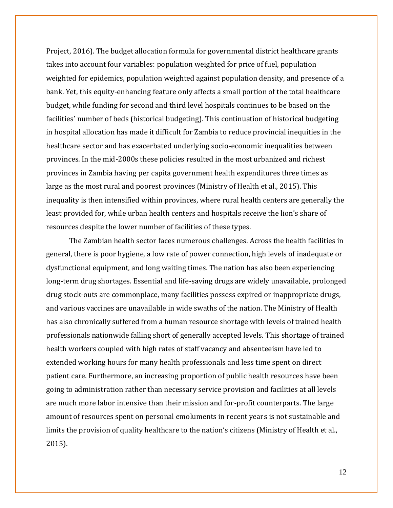Project, 2016). The budget allocation formula for governmental district healthcare grants takes into account four variables: population weighted for price of fuel, population weighted for epidemics, population weighted against population density, and presence of a bank. Yet, this equity-enhancing feature only affects a small portion of the total healthcare budget, while funding for second and third level hospitals continues to be based on the facilities' number of beds (historical budgeting). This continuation of historical budgeting in hospital allocation has made it difficult for Zambia to reduce provincial inequities in the healthcare sector and has exacerbated underlying socio-economic inequalities between provinces. In the mid-2000s these policies resulted in the most urbanized and richest provinces in Zambia having per capita government health expenditures three times as large as the most rural and poorest provinces (Ministry of Health et al., 2015). This inequality is then intensified within provinces, where rural health centers are generally the least provided for, while urban health centers and hospitals receive the lion's share of resources despite the lower number of facilities of these types.

The Zambian health sector faces numerous challenges. Across the health facilities in general, there is poor hygiene, a low rate of power connection, high levels of inadequate or dysfunctional equipment, and long waiting times. The nation has also been experiencing long-term drug shortages. Essential and life-saving drugs are widely unavailable, prolonged drug stock-outs are commonplace, many facilities possess expired or inappropriate drugs, and various vaccines are unavailable in wide swaths of the nation. The Ministry of Health has also chronically suffered from a human resource shortage with levels of trained health professionals nationwide falling short of generally accepted levels. This shortage of trained health workers coupled with high rates of staff vacancy and absenteeism have led to extended working hours for many health professionals and less time spent on direct patient care. Furthermore, an increasing proportion of public health resources have been going to administration rather than necessary service provision and facilities at all levels are much more labor intensive than their mission and for-profit counterparts. The large amount of resources spent on personal emoluments in recent years is not sustainable and limits the provision of quality healthcare to the nation's citizens (Ministry of Health et al., 2015).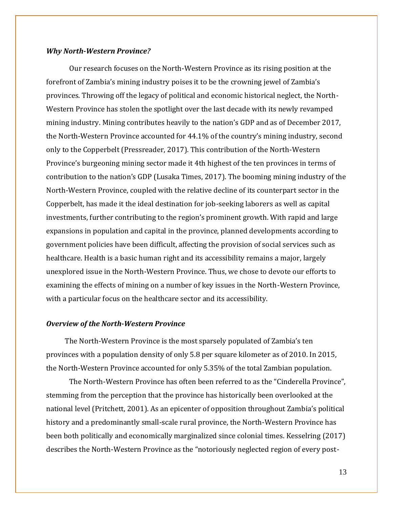#### *Why North-Western Province?*

Our research focuses on the North-Western Province as its rising position at the forefront of Zambia's mining industry poises it to be the crowning jewel of Zambia's provinces. Throwing off the legacy of political and economic historical neglect, the North-Western Province has stolen the spotlight over the last decade with its newly revamped mining industry. Mining contributes heavily to the nation's GDP and as of December 2017, the North-Western Province accounted for 44.1% of the country's mining industry, second only to the Copperbelt (Pressreader, 2017). This contribution of the North-Western Province's burgeoning mining sector made it 4th highest of the ten provinces in terms of contribution to the nation's GDP (Lusaka Times, 2017). The booming mining industry of the North-Western Province, coupled with the relative decline of its counterpart sector in the Copperbelt, has made it the ideal destination for job-seeking laborers as well as capital investments, further contributing to the region's prominent growth. With rapid and large expansions in population and capital in the province, planned developments according to government policies have been difficult, affecting the provision of social services such as healthcare. Health is a basic human right and its accessibility remains a major, largely unexplored issue in the North-Western Province. Thus, we chose to devote our efforts to examining the effects of mining on a number of key issues in the North-Western Province, with a particular focus on the healthcare sector and its accessibility.

#### *Overview of the North-Western Province*

 The North-Western Province is the most sparsely populated of Zambia's ten provinces with a population density of only 5.8 per square kilometer as of 2010. In 2015, the North-Western Province accounted for only 5.35% of the total Zambian population.

The North-Western Province has often been referred to as the "Cinderella Province", stemming from the perception that the province has historically been overlooked at the national level (Pritchett, 2001). As an epicenter of opposition throughout Zambia's political history and a predominantly small-scale rural province, the North-Western Province has been both politically and economically marginalized since colonial times. Kesselring (2017) describes the North-Western Province as the "notoriously neglected region of every post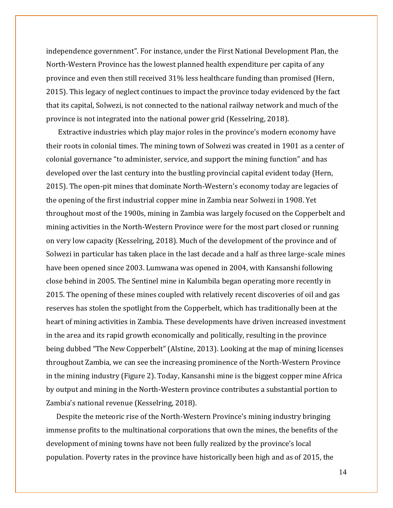independence government". For instance, under the First National Development Plan, the North-Western Province has the lowest planned health expenditure per capita of any province and even then still received 31% less healthcare funding than promised (Hern, 2015). This legacy of neglect continues to impact the province today evidenced by the fact that its capital, Solwezi, is not connected to the national railway network and much of the province is not integrated into the national power grid (Kesselring, 2018).

 Extractive industries which play major roles in the province's modern economy have their roots in colonial times. The mining town of Solwezi was created in 1901 as a center of colonial governance "to administer, service, and support the mining function" and has developed over the last century into the bustling provincial capital evident today (Hern, 2015). The open-pit mines that dominate North-Western's economy today are legacies of the opening of the first industrial copper mine in Zambia near Solwezi in 1908. Yet throughout most of the 1900s, mining in Zambia was largely focused on the Copperbelt and mining activities in the North-Western Province were for the most part closed or running on very low capacity (Kesselring, 2018). Much of the development of the province and of Solwezi in particular has taken place in the last decade and a half as three large-scale mines have been opened since 2003. Lumwana was opened in 2004, with Kansanshi following close behind in 2005. The Sentinel mine in Kalumbila began operating more recently in 2015. The opening of these mines coupled with relatively recent discoveries of oil and gas reserves has stolen the spotlight from the Copperbelt, which has traditionally been at the heart of mining activities in Zambia. These developments have driven increased investment in the area and its rapid growth economically and politically, resulting in the province being dubbed "The New Copperbelt" (Alstine, 2013). Looking at the map of mining licenses throughout Zambia, we can see the increasing prominence of the North-Western Province in the mining industry (Figure 2). Today, Kansanshi mine is the biggest copper mine Africa by output and mining in the North-Western province contributes a substantial portion to Zambia's national revenue (Kesselring, 2018).

 Despite the meteoric rise of the North-Western Province's mining industry bringing immense profits to the multinational corporations that own the mines, the benefits of the development of mining towns have not been fully realized by the province's local population. Poverty rates in the province have historically been high and as of 2015, the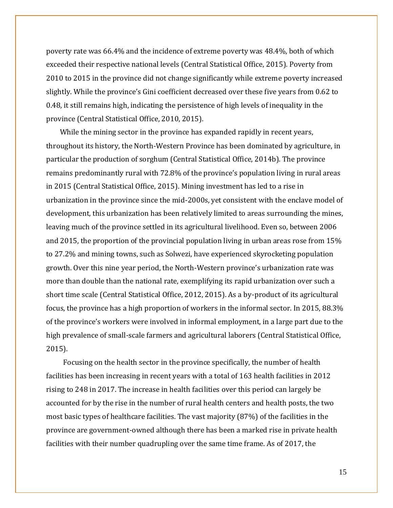poverty rate was 66.4% and the incidence of extreme poverty was 48.4%, both of which exceeded their respective national levels (Central Statistical Office, 2015). Poverty from 2010 to 2015 in the province did not change significantly while extreme poverty increased slightly. While the province's Gini coefficient decreased over these five years from 0.62 to 0.48, it still remains high, indicating the persistence of high levels of inequality in the province (Central Statistical Office, 2010, 2015).

 While the mining sector in the province has expanded rapidly in recent years, throughout its history, the North-Western Province has been dominated by agriculture, in particular the production of sorghum (Central Statistical Office, 2014b). The province remains predominantly rural with 72.8% of the province's population living in rural areas in 2015 (Central Statistical Office, 2015). Mining investment has led to a rise in urbanization in the province since the mid-2000s, yet consistent with the enclave model of development, this urbanization has been relatively limited to areas surrounding the mines, leaving much of the province settled in its agricultural livelihood. Even so, between 2006 and 2015, the proportion of the provincial population living in urban areas rose from 15% to 27.2% and mining towns, such as Solwezi, have experienced skyrocketing population growth. Over this nine year period, the North-Western province's urbanization rate was more than double than the national rate, exemplifying its rapid urbanization over such a short time scale (Central Statistical Office, 2012, 2015). As a by-product of its agricultural focus, the province has a high proportion of workers in the informal sector. In 2015, 88.3% of the province's workers were involved in informal employment, in a large part due to the high prevalence of small-scale farmers and agricultural laborers (Central Statistical Office, 2015).

 Focusing on the health sector in the province specifically, the number of health facilities has been increasing in recent years with a total of 163 health facilities in 2012 rising to 248 in 2017. The increase in health facilities over this period can largely be accounted for by the rise in the number of rural health centers and health posts, the two most basic types of healthcare facilities. The vast majority (87%) of the facilities in the province are government-owned although there has been a marked rise in private health facilities with their number quadrupling over the same time frame. As of 2017, the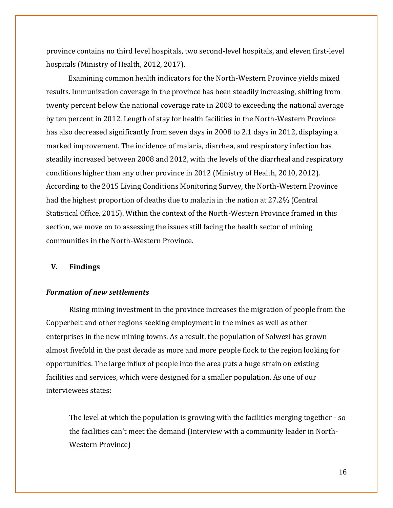province contains no third level hospitals, two second-level hospitals, and eleven first-level hospitals (Ministry of Health, 2012, 2017).

 Examining common health indicators for the North-Western Province yields mixed results. Immunization coverage in the province has been steadily increasing, shifting from twenty percent below the national coverage rate in 2008 to exceeding the national average by ten percent in 2012. Length of stay for health facilities in the North-Western Province has also decreased significantly from seven days in 2008 to 2.1 days in 2012, displaying a marked improvement. The incidence of malaria, diarrhea, and respiratory infection has steadily increased between 2008 and 2012, with the levels of the diarrheal and respiratory conditions higher than any other province in 2012 (Ministry of Health, 2010, 2012). According to the 2015 Living Conditions Monitoring Survey, the North-Western Province had the highest proportion of deaths due to malaria in the nation at 27.2% (Central Statistical Office, 2015). Within the context of the North-Western Province framed in this section, we move on to assessing the issues still facing the health sector of mining communities in the North-Western Province.

#### **V. Findings**

#### *Formation of new settlements*

Rising mining investment in the province increases the migration of people from the Copperbelt and other regions seeking employment in the mines as well as other enterprises in the new mining towns. As a result, the population of Solwezi has grown almost fivefold in the past decade as more and more people flock to the region looking for opportunities. The large influx of people into the area puts a huge strain on existing facilities and services, which were designed for a smaller population. As one of our interviewees states:

The level at which the population is growing with the facilities merging together - so the facilities can't meet the demand (Interview with a community leader in North-Western Province)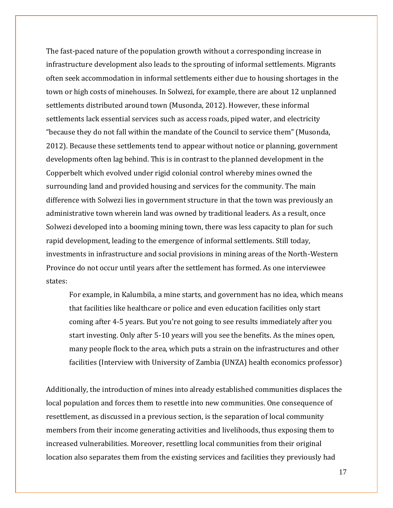The fast-paced nature of the population growth without a corresponding increase in infrastructure development also leads to the sprouting of informal settlements. Migrants often seek accommodation in informal settlements either due to housing shortages in the town or high costs of minehouses. In Solwezi, for example, there are about 12 unplanned settlements distributed around town (Musonda, 2012). However, these informal settlements lack essential services such as access roads, piped water, and electricity "because they do not fall within the mandate of the Council to service them" (Musonda, 2012). Because these settlements tend to appear without notice or planning, government developments often lag behind. This is in contrast to the planned development in the Copperbelt which evolved under rigid colonial control whereby mines owned the surrounding land and provided housing and services for the community. The main difference with Solwezi lies in government structure in that the town was previously an administrative town wherein land was owned by traditional leaders. As a result, once Solwezi developed into a booming mining town, there was less capacity to plan for such rapid development, leading to the emergence of informal settlements. Still today, investments in infrastructure and social provisions in mining areas of the North-Western Province do not occur until years after the settlement has formed. As one interviewee states:

For example, in Kalumbila, a mine starts, and government has no idea, which means that facilities like healthcare or police and even education facilities only start coming after 4-5 years. But you're not going to see results immediately after you start investing. Only after 5-10 years will you see the benefits. As the mines open, many people flock to the area, which puts a strain on the infrastructures and other facilities (Interview with University of Zambia (UNZA) health economics professor)

Additionally, the introduction of mines into already established communities displaces the local population and forces them to resettle into new communities. One consequence of resettlement, as discussed in a previous section, is the separation of local community members from their income generating activities and livelihoods, thus exposing them to increased vulnerabilities. Moreover, resettling local communities from their original location also separates them from the existing services and facilities they previously had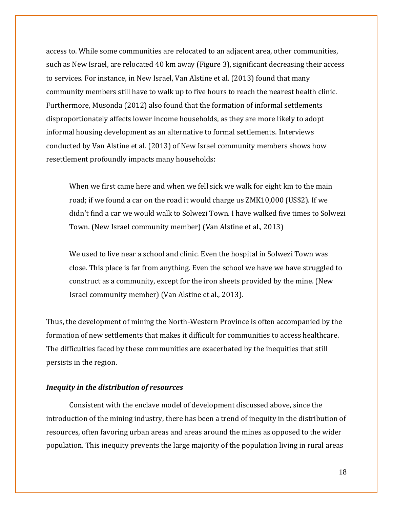access to. While some communities are relocated to an adjacent area, other communities, such as New Israel, are relocated 40 km away (Figure 3), significant decreasing their access to services. For instance, in New Israel, Van Alstine et al. (2013) found that many community members still have to walk up to five hours to reach the nearest health clinic. Furthermore, Musonda (2012) also found that the formation of informal settlements disproportionately affects lower income households, as they are more likely to adopt informal housing development as an alternative to formal settlements. Interviews conducted by Van Alstine et al. (2013) of New Israel community members shows how resettlement profoundly impacts many households:

When we first came here and when we fell sick we walk for eight km to the main road; if we found a car on the road it would charge us ZMK10,000 (US\$2). If we didn't find a car we would walk to Solwezi Town. I have walked five times to Solwezi Town. (New Israel community member) (Van Alstine et al., 2013)

We used to live near a school and clinic. Even the hospital in Solwezi Town was close. This place is far from anything. Even the school we have we have struggled to construct as a community, except for the iron sheets provided by the mine. (New Israel community member) (Van Alstine et al., 2013).

Thus, the development of mining the North-Western Province is often accompanied by the formation of new settlements that makes it difficult for communities to access healthcare. The difficulties faced by these communities are exacerbated by the inequities that still persists in the region.

#### *Inequity in the distribution of resources*

Consistent with the enclave model of development discussed above, since the introduction of the mining industry, there has been a trend of inequity in the distribution of resources, often favoring urban areas and areas around the mines as opposed to the wider population. This inequity prevents the large majority of the population living in rural areas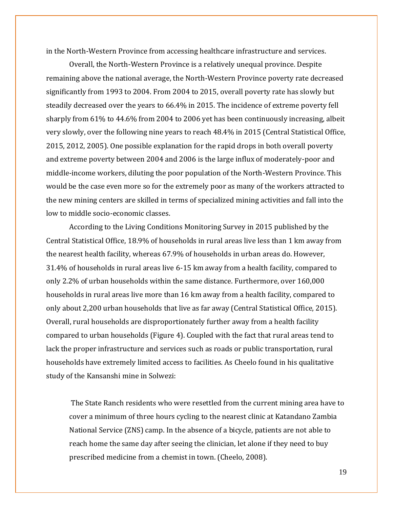in the North-Western Province from accessing healthcare infrastructure and services.

Overall, the North-Western Province is a relatively unequal province. Despite remaining above the national average, the North-Western Province poverty rate decreased significantly from 1993 to 2004. From 2004 to 2015, overall poverty rate has slowly but steadily decreased over the years to 66.4% in 2015. The incidence of extreme poverty fell sharply from 61% to 44.6% from 2004 to 2006 yet has been continuously increasing, albeit very slowly, over the following nine years to reach 48.4% in 2015 (Central Statistical Office, 2015, 2012, 2005). One possible explanation for the rapid drops in both overall poverty and extreme poverty between 2004 and 2006 is the large influx of moderately-poor and middle-income workers, diluting the poor population of the North-Western Province. This would be the case even more so for the extremely poor as many of the workers attracted to the new mining centers are skilled in terms of specialized mining activities and fall into the low to middle socio-economic classes.

According to the Living Conditions Monitoring Survey in 2015 published by the Central Statistical Office, 18.9% of households in rural areas live less than 1 km away from the nearest health facility, whereas 67.9% of households in urban areas do. However, 31.4% of households in rural areas live 6-15 km away from a health facility, compared to only 2.2% of urban households within the same distance. Furthermore, over 160,000 households in rural areas live more than 16 km away from a health facility, compared to only about 2,200 urban households that live as far away (Central Statistical Office, 2015). Overall, rural households are disproportionately further away from a health facility compared to urban households (Figure 4). Coupled with the fact that rural areas tend to lack the proper infrastructure and services such as roads or public transportation, rural households have extremely limited access to facilities. As Cheelo found in his qualitative study of the Kansanshi mine in Solwezi:

The State Ranch residents who were resettled from the current mining area have to cover a minimum of three hours cycling to the nearest clinic at Katandano Zambia National Service (ZNS) camp. In the absence of a bicycle, patients are not able to reach home the same day after seeing the clinician, let alone if they need to buy prescribed medicine from a chemist in town. (Cheelo, 2008).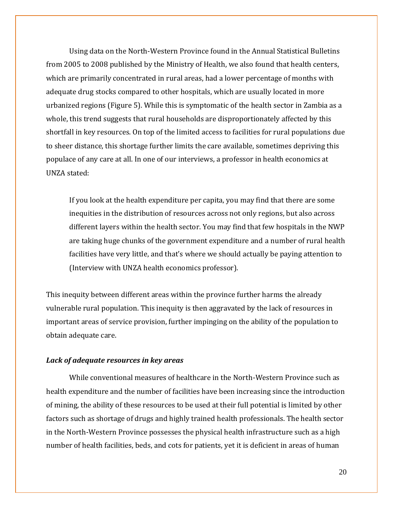Using data on the North-Western Province found in the Annual Statistical Bulletins from 2005 to 2008 published by the Ministry of Health, we also found that health centers, which are primarily concentrated in rural areas, had a lower percentage of months with adequate drug stocks compared to other hospitals, which are usually located in more urbanized regions (Figure 5). While this is symptomatic of the health sector in Zambia as a whole, this trend suggests that rural households are disproportionately affected by this shortfall in key resources. On top of the limited access to facilities for rural populations due to sheer distance, this shortage further limits the care available, sometimes depriving this populace of any care at all. In one of our interviews, a professor in health economics at UNZA stated:

If you look at the health expenditure per capita, you may find that there are some inequities in the distribution of resources across not only regions, but also across different layers within the health sector. You may find that few hospitals in the NWP are taking huge chunks of the government expenditure and a number of rural health facilities have very little, and that's where we should actually be paying attention to (Interview with UNZA health economics professor).

This inequity between different areas within the province further harms the already vulnerable rural population. This inequity is then aggravated by the lack of resources in important areas of service provision, further impinging on the ability of the population to obtain adequate care.

## *Lack of adequate resources in key areas*

While conventional measures of healthcare in the North-Western Province such as health expenditure and the number of facilities have been increasing since the introduction of mining, the ability of these resources to be used at their full potential is limited by other factors such as shortage of drugs and highly trained health professionals. The health sector in the North-Western Province possesses the physical health infrastructure such as a high number of health facilities, beds, and cots for patients, yet it is deficient in areas of human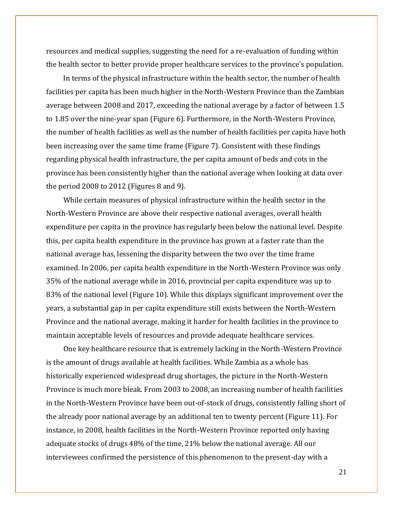resources and medical supplies, suggesting the need for a re-evaluation of funding within the health sector to better provide proper healthcare services to the province's population.

 In terms of the physical infrastructure within the health sector, the number of health facilities per capita has been much higher in the North-Western Province than the Zambian average between 2008 and 2017, exceeding the national average by a factor of between 1.5 to 1.85 over the nine-year span (Figure 6). Furthermore, in the North-Western Province, the number of health facilities as well as the number of health facilities per capita have both been increasing over the same time frame (Figure 7). Consistent with these findings regarding physical health infrastructure, the per capita amount of beds and cots in the province has been consistently higher than the national average when looking at data over the period 2008 to 2012 (Figures 8 and 9).

 While certain measures of physical infrastructure within the health sector in the North-Western Province are above their respective national averages, overall health expenditure per capita in the province has regularly been below the national level. Despite this, per capita health expenditure in the province has grown at a faster rate than the national average has, lessening the disparity between the two over the time frame examined. In 2006, per capita health expenditure in the North-Western Province was only 35% of the national average while in 2016, provincial per capita expenditure was up to 83% of the national level (Figure 10). While this displays significant improvement over the years, a substantial gap in per capita expenditure still exists between the North-Western Province and the national average, making it harder for health facilities in the province to maintain acceptable levels of resources and provide adequate healthcare services.

 One key healthcare resource that is extremely lacking in the North-Western Province is the amount of drugs available at health facilities. While Zambia as a whole has historically experienced widespread drug shortages, the picture in the North-Western Province is much more bleak. From 2003 to 2008, an increasing number of health facilities in the North-Western Province have been out-of-stock of drugs, consistently falling short of the already poor national average by an additional ten to twenty percent (Figure 11). For instance, in 2008, health facilities in the North-Western Province reported only having adequate stocks of drugs 48% of the time, 21% below the national average. All our interviewees confirmed the persistence of this phenomenon to the present-day with a

21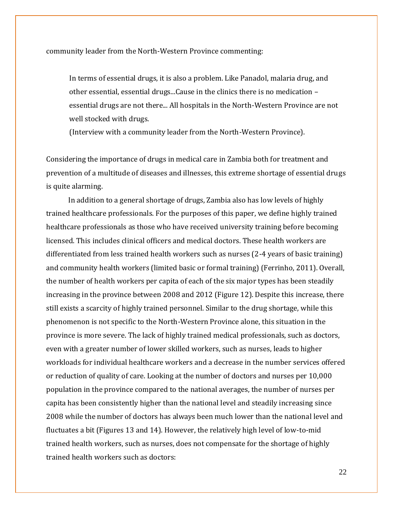community leader from the North-Western Province commenting:

In terms of essential drugs, it is also a problem. Like Panadol, malaria drug, and other essential, essential drugs...Cause in the clinics there is no medication – essential drugs are not there... All hospitals in the North-Western Province are not well stocked with drugs.

(Interview with a community leader from the North-Western Province).

Considering the importance of drugs in medical care in Zambia both for treatment and prevention of a multitude of diseases and illnesses, this extreme shortage of essential drugs is quite alarming.

 In addition to a general shortage of drugs, Zambia also has low levels of highly trained healthcare professionals. For the purposes of this paper, we define highly trained healthcare professionals as those who have received university training before becoming licensed. This includes clinical officers and medical doctors. These health workers are differentiated from less trained health workers such as nurses (2-4 years of basic training) and community health workers (limited basic or formal training) (Ferrinho, 2011). Overall, the number of health workers per capita of each of the six major types has been steadily increasing in the province between 2008 and 2012 (Figure 12). Despite this increase, there still exists a scarcity of highly trained personnel. Similar to the drug shortage, while this phenomenon is not specific to the North-Western Province alone, this situation in the province is more severe. The lack of highly trained medical professionals, such as doctors, even with a greater number of lower skilled workers, such as nurses, leads to higher workloads for individual healthcare workers and a decrease in the number services offered or reduction of quality of care. Looking at the number of doctors and nurses per 10,000 population in the province compared to the national averages, the number of nurses per capita has been consistently higher than the national level and steadily increasing since 2008 while the number of doctors has always been much lower than the national level and fluctuates a bit (Figures 13 and 14). However, the relatively high level of low-to-mid trained health workers, such as nurses, does not compensate for the shortage of highly trained health workers such as doctors: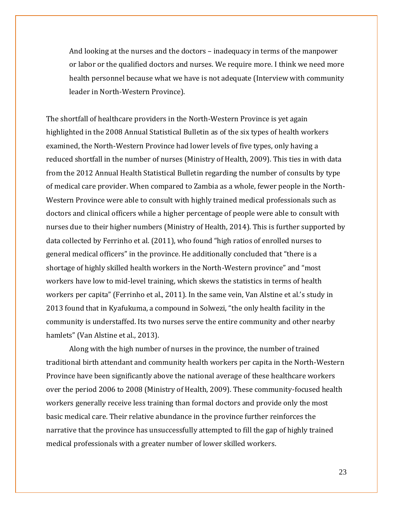And looking at the nurses and the doctors – inadequacy in terms of the manpower or labor or the qualified doctors and nurses. We require more. I think we need more health personnel because what we have is not adequate (Interview with community leader in North-Western Province).

The shortfall of healthcare providers in the North-Western Province is yet again highlighted in the 2008 Annual Statistical Bulletin as of the six types of health workers examined, the North-Western Province had lower levels of five types, only having a reduced shortfall in the number of nurses (Ministry of Health, 2009). This ties in with data from the 2012 Annual Health Statistical Bulletin regarding the number of consults by type of medical care provider. When compared to Zambia as a whole, fewer people in the North-Western Province were able to consult with highly trained medical professionals such as doctors and clinical officers while a higher percentage of people were able to consult with nurses due to their higher numbers (Ministry of Health, 2014). This is further supported by data collected by Ferrinho et al. (2011), who found "high ratios of enrolled nurses to general medical officers" in the province. He additionally concluded that "there is a shortage of highly skilled health workers in the North-Western province" and "most workers have low to mid-level training, which skews the statistics in terms of health workers per capita" (Ferrinho et al., 2011). In the same vein, Van Alstine et al.'s study in 2013 found that in Kyafukuma, a compound in Solwezi, "the only health facility in the community is understaffed. Its two nurses serve the entire community and other nearby hamlets" (Van Alstine et al., 2013).

Along with the high number of nurses in the province, the number of trained traditional birth attendant and community health workers per capita in the North-Western Province have been significantly above the national average of these healthcare workers over the period 2006 to 2008 (Ministry of Health, 2009). These community-focused health workers generally receive less training than formal doctors and provide only the most basic medical care. Their relative abundance in the province further reinforces the narrative that the province has unsuccessfully attempted to fill the gap of highly trained medical professionals with a greater number of lower skilled workers.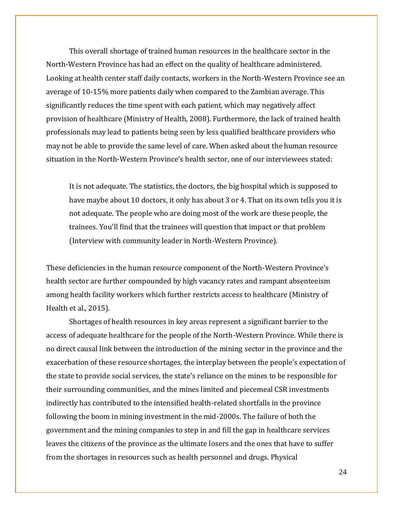This overall shortage of trained human resources in the healthcare sector in the North-Western Province has had an effect on the quality of healthcare administered. Looking at health center staff daily contacts, workers in the North-Western Province see an average of 10-15% more patients daily when compared to the Zambian average. This significantly reduces the time spent with each patient, which may negatively affect provision of healthcare (Ministry of Health, 2008). Furthermore, the lack of trained health professionals may lead to patients being seen by less qualified healthcare providers who may not be able to provide the same level of care. When asked about the human resource situation in the North-Western Province's health sector, one of our interviewees stated:

It is not adequate. The statistics, the doctors, the big hospital which is supposed to have maybe about 10 doctors, it only has about 3 or 4. That on its own tells you it is not adequate. The people who are doing most of the work are these people, the trainees. You'll find that the trainees will question that impact or that problem (Interview with community leader in North-Western Province).

These deficiencies in the human resource component of the North-Western Province's health sector are further compounded by high vacancy rates and rampant absenteeism among health facility workers which further restricts access to healthcare (Ministry of Health et al., 2015).

Shortages of health resources in key areas represent a significant barrier to the access of adequate healthcare for the people of the North-Western Province. While there is no direct causal link between the introduction of the mining sector in the province and the exacerbation of these resource shortages, the interplay between the people's expectation of the state to provide social services, the state's reliance on the mines to be responsible for their surrounding communities, and the mines limited and piecemeal CSR investments indirectly has contributed to the intensified health-related shortfalls in the province following the boom in mining investment in the mid-2000s. The failure of both the government and the mining companies to step in and fill the gap in healthcare services leaves the citizens of the province as the ultimate losers and the ones that have to suffer from the shortages in resources such as health personnel and drugs. Physical

24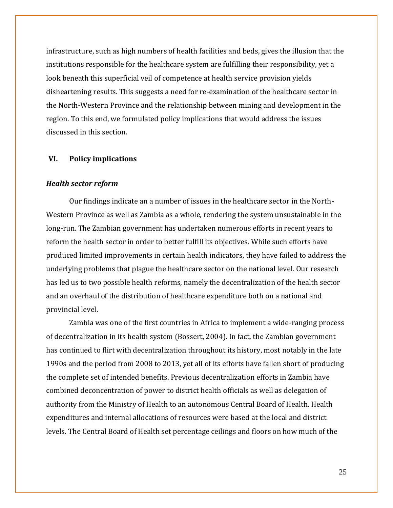infrastructure, such as high numbers of health facilities and beds, gives the illusion that the institutions responsible for the healthcare system are fulfilling their responsibility, yet a look beneath this superficial veil of competence at health service provision yields disheartening results. This suggests a need for re-examination of the healthcare sector in the North-Western Province and the relationship between mining and development in the region. To this end, we formulated policy implications that would address the issues discussed in this section.

## **VI. Policy implications**

### *Health sector reform*

Our findings indicate an a number of issues in the healthcare sector in the North-Western Province as well as Zambia as a whole, rendering the system unsustainable in the long-run. The Zambian government has undertaken numerous efforts in recent years to reform the health sector in order to better fulfill its objectives. While such efforts have produced limited improvements in certain health indicators, they have failed to address the underlying problems that plague the healthcare sector on the national level. Our research has led us to two possible health reforms, namely the decentralization of the health sector and an overhaul of the distribution of healthcare expenditure both on a national and provincial level.

Zambia was one of the first countries in Africa to implement a wide-ranging process of decentralization in its health system (Bossert, 2004). In fact, the Zambian government has continued to flirt with decentralization throughout its history, most notably in the late 1990s and the period from 2008 to 2013, yet all of its efforts have fallen short of producing the complete set of intended benefits. Previous decentralization efforts in Zambia have combined deconcentration of power to district health officials as well as delegation of authority from the Ministry of Health to an autonomous Central Board of Health. Health expenditures and internal allocations of resources were based at the local and district levels. The Central Board of Health set percentage ceilings and floors on how much of the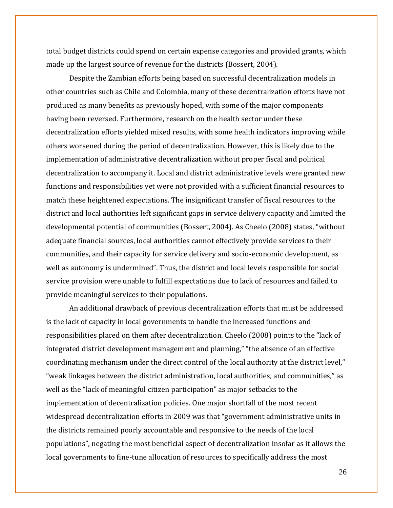total budget districts could spend on certain expense categories and provided grants, which made up the largest source of revenue for the districts (Bossert, 2004).

Despite the Zambian efforts being based on successful decentralization models in other countries such as Chile and Colombia, many of these decentralization efforts have not produced as many benefits as previously hoped, with some of the major components having been reversed. Furthermore, research on the health sector under these decentralization efforts yielded mixed results, with some health indicators improving while others worsened during the period of decentralization. However, this is likely due to the implementation of administrative decentralization without proper fiscal and political decentralization to accompany it. Local and district administrative levels were granted new functions and responsibilities yet were not provided with a sufficient financial resources to match these heightened expectations. The insignificant transfer of fiscal resources to the district and local authorities left significant gaps in service delivery capacity and limited the developmental potential of communities (Bossert, 2004). As Cheelo (2008) states, "without adequate financial sources, local authorities cannot effectively provide services to their communities, and their capacity for service delivery and socio-economic development, as well as autonomy is undermined". Thus, the district and local levels responsible for social service provision were unable to fulfill expectations due to lack of resources and failed to provide meaningful services to their populations.

An additional drawback of previous decentralization efforts that must be addressed is the lack of capacity in local governments to handle the increased functions and responsibilities placed on them after decentralization. Cheelo (2008) points to the "lack of integrated district development management and planning," "the absence of an effective coordinating mechanism under the direct control of the local authority at the district level," "weak linkages between the district administration, local authorities, and communities," as well as the "lack of meaningful citizen participation" as major setbacks to the implementation of decentralization policies. One major shortfall of the most recent widespread decentralization efforts in 2009 was that "government administrative units in the districts remained poorly accountable and responsive to the needs of the local populations", negating the most beneficial aspect of decentralization insofar as it allows the local governments to fine-tune allocation of resources to specifically address the most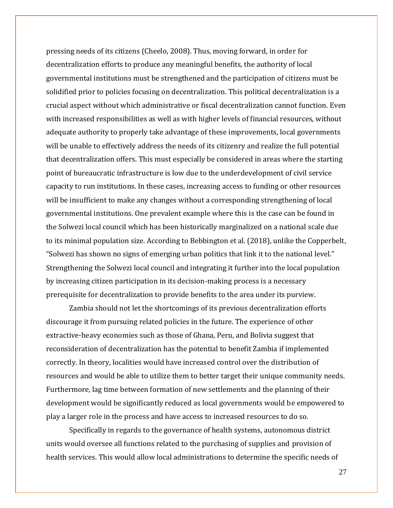pressing needs of its citizens (Cheelo, 2008). Thus, moving forward, in order for decentralization efforts to produce any meaningful benefits, the authority of local governmental institutions must be strengthened and the participation of citizens must be solidified prior to policies focusing on decentralization. This political decentralization is a crucial aspect without which administrative or fiscal decentralization cannot function. Even with increased responsibilities as well as with higher levels of financial resources, without adequate authority to properly take advantage of these improvements, local governments will be unable to effectively address the needs of its citizenry and realize the full potential that decentralization offers. This must especially be considered in areas where the starting point of bureaucratic infrastructure is low due to the underdevelopment of civil service capacity to run institutions. In these cases, increasing access to funding or other resources will be insufficient to make any changes without a corresponding strengthening of local governmental institutions. One prevalent example where this is the case can be found in the Solwezi local council which has been historically marginalized on a national scale due to its minimal population size. According to Bebbington et al. (2018), unlike the Copperbelt, "Solwezi has shown no signs of emerging urban politics that link it to the national level." Strengthening the Solwezi local council and integrating it further into the local population by increasing citizen participation in its decision-making process is a necessary prerequisite for decentralization to provide benefits to the area under its purview.

Zambia should not let the shortcomings of its previous decentralization efforts discourage it from pursuing related policies in the future. The experience of other extractive-heavy economies such as those of Ghana, Peru, and Bolivia suggest that reconsideration of decentralization has the potential to benefit Zambia if implemented correctly. In theory, localities would have increased control over the distribution of resources and would be able to utilize them to better target their unique community needs. Furthermore, lag time between formation of new settlements and the planning of their development would be significantly reduced as local governments would be empowered to play a larger role in the process and have access to increased resources to do so.

Specifically in regards to the governance of health systems, autonomous district units would oversee all functions related to the purchasing of supplies and provision of health services. This would allow local administrations to determine the specific needs of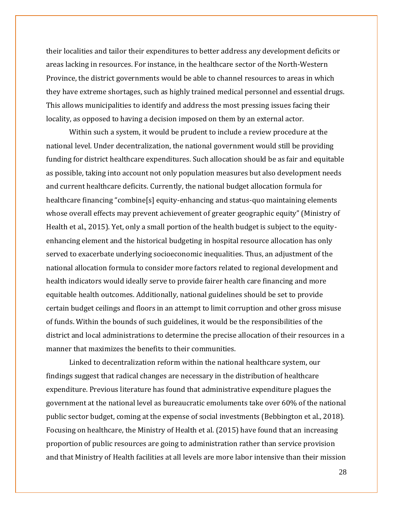their localities and tailor their expenditures to better address any development deficits or areas lacking in resources. For instance, in the healthcare sector of the North-Western Province, the district governments would be able to channel resources to areas in which they have extreme shortages, such as highly trained medical personnel and essential drugs. This allows municipalities to identify and address the most pressing issues facing their locality, as opposed to having a decision imposed on them by an external actor.

Within such a system, it would be prudent to include a review procedure at the national level. Under decentralization, the national government would still be providing funding for district healthcare expenditures. Such allocation should be as fair and equitable as possible, taking into account not only population measures but also development needs and current healthcare deficits. Currently, the national budget allocation formula for healthcare financing "combine[s] equity-enhancing and status-quo maintaining elements whose overall effects may prevent achievement of greater geographic equity" (Ministry of Health et al., 2015). Yet, only a small portion of the health budget is subject to the equityenhancing element and the historical budgeting in hospital resource allocation has only served to exacerbate underlying socioeconomic inequalities. Thus, an adjustment of the national allocation formula to consider more factors related to regional development and health indicators would ideally serve to provide fairer health care financing and more equitable health outcomes. Additionally, national guidelines should be set to provide certain budget ceilings and floors in an attempt to limit corruption and other gross misuse of funds. Within the bounds of such guidelines, it would be the responsibilities of the district and local administrations to determine the precise allocation of their resources in a manner that maximizes the benefits to their communities.

Linked to decentralization reform within the national healthcare system, our findings suggest that radical changes are necessary in the distribution of healthcare expenditure. Previous literature has found that administrative expenditure plagues the government at the national level as bureaucratic emoluments take over 60% of the national public sector budget, coming at the expense of social investments (Bebbington et al., 2018). Focusing on healthcare, the Ministry of Health et al. (2015) have found that an increasing proportion of public resources are going to administration rather than service provision and that Ministry of Health facilities at all levels are more labor intensive than their mission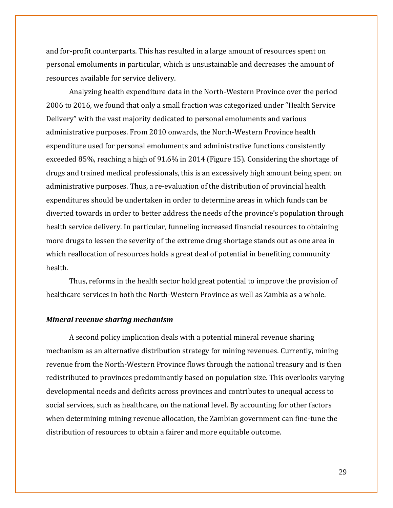and for-profit counterparts. This has resulted in a large amount of resources spent on personal emoluments in particular, which is unsustainable and decreases the amount of resources available for service delivery.

Analyzing health expenditure data in the North-Western Province over the period 2006 to 2016, we found that only a small fraction was categorized under "Health Service Delivery" with the vast majority dedicated to personal emoluments and various administrative purposes. From 2010 onwards, the North-Western Province health expenditure used for personal emoluments and administrative functions consistently exceeded 85%, reaching a high of 91.6% in 2014 (Figure 15). Considering the shortage of drugs and trained medical professionals, this is an excessively high amount being spent on administrative purposes. Thus, a re-evaluation of the distribution of provincial health expenditures should be undertaken in order to determine areas in which funds can be diverted towards in order to better address the needs of the province's population through health service delivery. In particular, funneling increased financial resources to obtaining more drugs to lessen the severity of the extreme drug shortage stands out as one area in which reallocation of resources holds a great deal of potential in benefiting community health.

Thus, reforms in the health sector hold great potential to improve the provision of healthcare services in both the North-Western Province as well as Zambia as a whole.

#### *Mineral revenue sharing mechanism*

A second policy implication deals with a potential mineral revenue sharing mechanism as an alternative distribution strategy for mining revenues. Currently, mining revenue from the North-Western Province flows through the national treasury and is then redistributed to provinces predominantly based on population size. This overlooks varying developmental needs and deficits across provinces and contributes to unequal access to social services, such as healthcare, on the national level. By accounting for other factors when determining mining revenue allocation, the Zambian government can fine-tune the distribution of resources to obtain a fairer and more equitable outcome.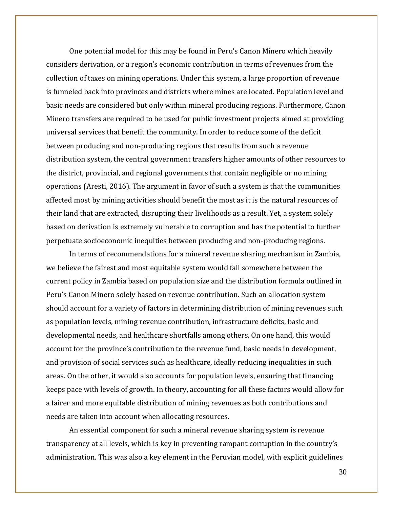One potential model for this may be found in Peru's Canon Minero which heavily considers derivation, or a region's economic contribution in terms of revenues from the collection of taxes on mining operations. Under this system, a large proportion of revenue is funneled back into provinces and districts where mines are located. Population level and basic needs are considered but only within mineral producing regions. Furthermore, Canon Minero transfers are required to be used for public investment projects aimed at providing universal services that benefit the community. In order to reduce some of the deficit between producing and non-producing regions that results from such a revenue distribution system, the central government transfers higher amounts of other resources to the district, provincial, and regional governments that contain negligible or no mining operations (Aresti, 2016). The argument in favor of such a system is that the communities affected most by mining activities should benefit the most as it is the natural resources of their land that are extracted, disrupting their livelihoods as a result. Yet, a system solely based on derivation is extremely vulnerable to corruption and has the potential to further perpetuate socioeconomic inequities between producing and non-producing regions.

In terms of recommendations for a mineral revenue sharing mechanism in Zambia, we believe the fairest and most equitable system would fall somewhere between the current policy in Zambia based on population size and the distribution formula outlined in Peru's Canon Minero solely based on revenue contribution. Such an allocation system should account for a variety of factors in determining distribution of mining revenues such as population levels, mining revenue contribution, infrastructure deficits, basic and developmental needs, and healthcare shortfalls among others. On one hand, this would account for the province's contribution to the revenue fund, basic needs in development, and provision of social services such as healthcare, ideally reducing inequalities in such areas. On the other, it would also accounts for population levels, ensuring that financing keeps pace with levels of growth. In theory, accounting for all these factors would allow for a fairer and more equitable distribution of mining revenues as both contributions and needs are taken into account when allocating resources.

An essential component for such a mineral revenue sharing system is revenue transparency at all levels, which is key in preventing rampant corruption in the country's administration. This was also a key element in the Peruvian model, with explicit guidelines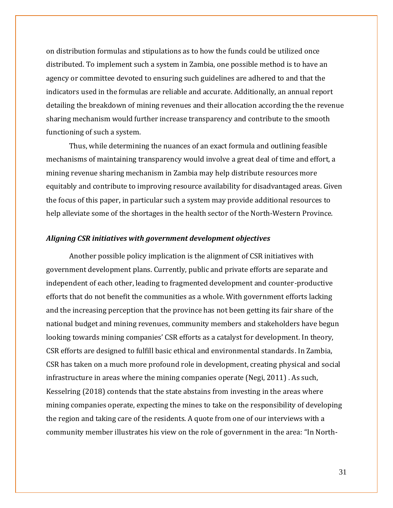on distribution formulas and stipulations as to how the funds could be utilized once distributed. To implement such a system in Zambia, one possible method is to have an agency or committee devoted to ensuring such guidelines are adhered to and that the indicators used in the formulas are reliable and accurate. Additionally, an annual report detailing the breakdown of mining revenues and their allocation according the the revenue sharing mechanism would further increase transparency and contribute to the smooth functioning of such a system.

Thus, while determining the nuances of an exact formula and outlining feasible mechanisms of maintaining transparency would involve a great deal of time and effort, a mining revenue sharing mechanism in Zambia may help distribute resources more equitably and contribute to improving resource availability for disadvantaged areas. Given the focus of this paper, in particular such a system may provide additional resources to help alleviate some of the shortages in the health sector of the North-Western Province.

#### *Aligning CSR initiatives with government development objectives*

Another possible policy implication is the alignment of CSR initiatives with government development plans. Currently, public and private efforts are separate and independent of each other, leading to fragmented development and counter-productive efforts that do not benefit the communities as a whole. With government efforts lacking and the increasing perception that the province has not been getting its fair share of the national budget and mining revenues, community members and stakeholders have begun looking towards mining companies' CSR efforts as a catalyst for development. In theory, CSR efforts are designed to fulfill basic ethical and environmental standards. In Zambia, CSR has taken on a much more profound role in development, creating physical and social infrastructure in areas where the mining companies operate (Negi, 2011) . As such, Kesselring (2018) contends that the state abstains from investing in the areas where mining companies operate, expecting the mines to take on the responsibility of developing the region and taking care of the residents. A quote from one of our interviews with a community member illustrates his view on the role of government in the area: "In North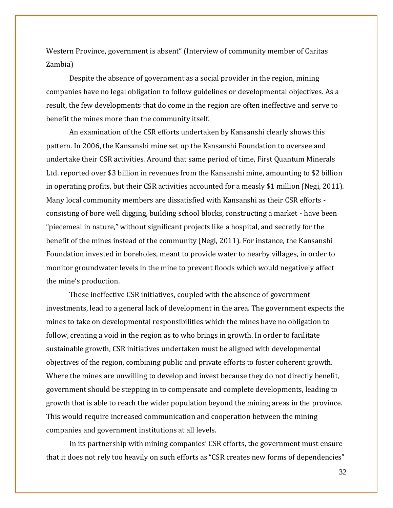Western Province, government is absent" (Interview of community member of Caritas Zambia)

Despite the absence of government as a social provider in the region, mining companies have no legal obligation to follow guidelines or developmental objectives. As a result, the few developments that do come in the region are often ineffective and serve to benefit the mines more than the community itself.

An examination of the CSR efforts undertaken by Kansanshi clearly shows this pattern. In 2006, the Kansanshi mine set up the Kansanshi Foundation to oversee and undertake their CSR activities. Around that same period of time, First Quantum Minerals Ltd. reported over \$3 billion in revenues from the Kansanshi mine, amounting to \$2 billion in operating profits, but their CSR activities accounted for a measly \$1 million (Negi, 2011). Many local community members are dissatisfied with Kansanshi as their CSR efforts consisting of bore well digging, building school blocks, constructing a market - have been "piecemeal in nature," without significant projects like a hospital, and secretly for the benefit of the mines instead of the community (Negi, 2011). For instance, the Kansanshi Foundation invested in boreholes, meant to provide water to nearby villages, in order to monitor groundwater levels in the mine to prevent floods which would negatively affect the mine's production.

These ineffective CSR initiatives, coupled with the absence of government investments, lead to a general lack of development in the area. The government expects the mines to take on developmental responsibilities which the mines have no obligation to follow, creating a void in the region as to who brings in growth. In order to facilitate sustainable growth, CSR initiatives undertaken must be aligned with developmental objectives of the region, combining public and private efforts to foster coherent growth. Where the mines are unwilling to develop and invest because they do not directly benefit, government should be stepping in to compensate and complete developments, leading to growth that is able to reach the wider population beyond the mining areas in the province. This would require increased communication and cooperation between the mining companies and government institutions at all levels.

In its partnership with mining companies' CSR efforts, the government must ensure that it does not rely too heavily on such efforts as "CSR creates new forms of dependencies"

32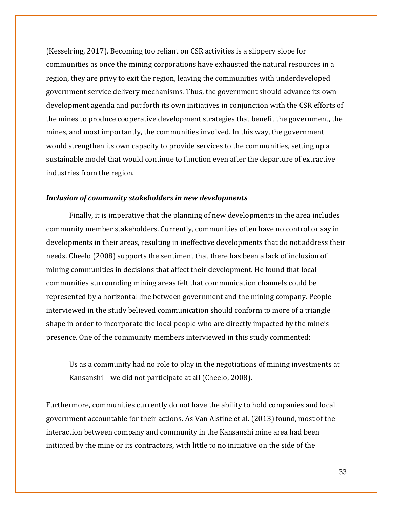(Kesselring, 2017). Becoming too reliant on CSR activities is a slippery slope for communities as once the mining corporations have exhausted the natural resources in a region, they are privy to exit the region, leaving the communities with underdeveloped government service delivery mechanisms. Thus, the government should advance its own development agenda and put forth its own initiatives in conjunction with the CSR efforts of the mines to produce cooperative development strategies that benefit the government, the mines, and most importantly, the communities involved. In this way, the government would strengthen its own capacity to provide services to the communities, setting up a sustainable model that would continue to function even after the departure of extractive industries from the region.

## *Inclusion of community stakeholders in new developments*

Finally, it is imperative that the planning of new developments in the area includes community member stakeholders. Currently, communities often have no control or say in developments in their areas, resulting in ineffective developments that do not address their needs. Cheelo (2008) supports the sentiment that there has been a lack of inclusion of mining communities in decisions that affect their development. He found that local communities surrounding mining areas felt that communication channels could be represented by a horizontal line between government and the mining company. People interviewed in the study believed communication should conform to more of a triangle shape in order to incorporate the local people who are directly impacted by the mine's presence. One of the community members interviewed in this study commented:

Us as a community had no role to play in the negotiations of mining investments at Kansanshi – we did not participate at all (Cheelo, 2008).

Furthermore, communities currently do not have the ability to hold companies and local government accountable for their actions. As Van Alstine et al. (2013) found, most of the interaction between company and community in the Kansanshi mine area had been initiated by the mine or its contractors, with little to no initiative on the side of the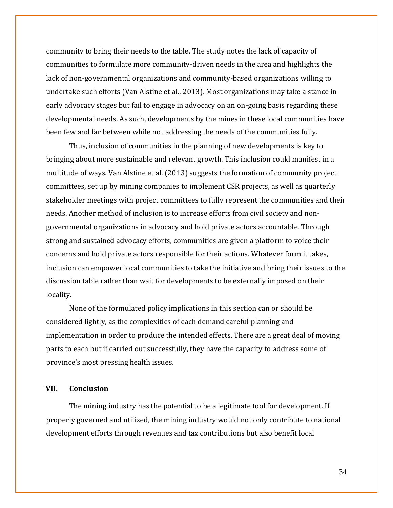community to bring their needs to the table. The study notes the lack of capacity of communities to formulate more community-driven needs in the area and highlights the lack of non-governmental organizations and community-based organizations willing to undertake such efforts (Van Alstine et al., 2013). Most organizations may take a stance in early advocacy stages but fail to engage in advocacy on an on-going basis regarding these developmental needs. As such, developments by the mines in these local communities have been few and far between while not addressing the needs of the communities fully.

Thus, inclusion of communities in the planning of new developments is key to bringing about more sustainable and relevant growth. This inclusion could manifest in a multitude of ways. Van Alstine et al. (2013) suggests the formation of community project committees, set up by mining companies to implement CSR projects, as well as quarterly stakeholder meetings with project committees to fully represent the communities and their needs. Another method of inclusion is to increase efforts from civil society and nongovernmental organizations in advocacy and hold private actors accountable. Through strong and sustained advocacy efforts, communities are given a platform to voice their concerns and hold private actors responsible for their actions. Whatever form it takes, inclusion can empower local communities to take the initiative and bring their issues to the discussion table rather than wait for developments to be externally imposed on their locality.

None of the formulated policy implications in this section can or should be considered lightly, as the complexities of each demand careful planning and implementation in order to produce the intended effects. There are a great deal of moving parts to each but if carried out successfully, they have the capacity to address some of province's most pressing health issues.

## **VII. Conclusion**

The mining industry has the potential to be a legitimate tool for development. If properly governed and utilized, the mining industry would not only contribute to national development efforts through revenues and tax contributions but also benefit local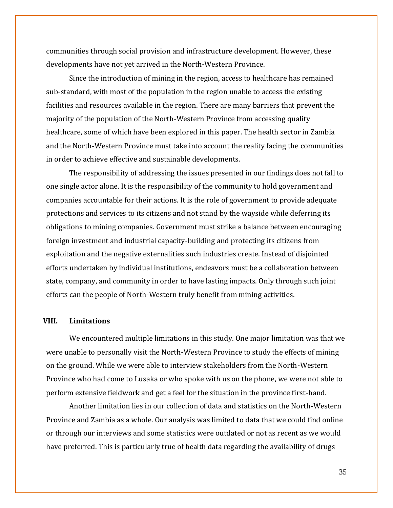communities through social provision and infrastructure development. However, these developments have not yet arrived in the North-Western Province.

Since the introduction of mining in the region, access to healthcare has remained sub-standard, with most of the population in the region unable to access the existing facilities and resources available in the region. There are many barriers that prevent the majority of the population of the North-Western Province from accessing quality healthcare, some of which have been explored in this paper. The health sector in Zambia and the North-Western Province must take into account the reality facing the communities in order to achieve effective and sustainable developments.

The responsibility of addressing the issues presented in our findings does not fall to one single actor alone. It is the responsibility of the community to hold government and companies accountable for their actions. It is the role of government to provide adequate protections and services to its citizens and not stand by the wayside while deferring its obligations to mining companies. Government must strike a balance between encouraging foreign investment and industrial capacity-building and protecting its citizens from exploitation and the negative externalities such industries create. Instead of disjointed efforts undertaken by individual institutions, endeavors must be a collaboration between state, company, and community in order to have lasting impacts. Only through such joint efforts can the people of North-Western truly benefit from mining activities.

## **VIII. Limitations**

We encountered multiple limitations in this study. One major limitation was that we were unable to personally visit the North-Western Province to study the effects of mining on the ground. While we were able to interview stakeholders from the North-Western Province who had come to Lusaka or who spoke with us on the phone, we were not able to perform extensive fieldwork and get a feel for the situation in the province first-hand.

Another limitation lies in our collection of data and statistics on the North-Western Province and Zambia as a whole. Our analysis was limited to data that we could find online or through our interviews and some statistics were outdated or not as recent as we would have preferred. This is particularly true of health data regarding the availability of drugs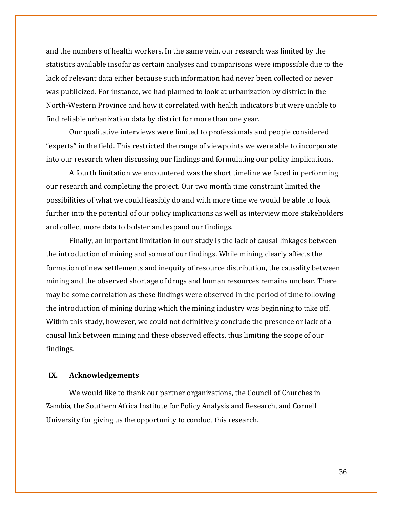and the numbers of health workers. In the same vein, our research was limited by the statistics available insofar as certain analyses and comparisons were impossible due to the lack of relevant data either because such information had never been collected or never was publicized. For instance, we had planned to look at urbanization by district in the North-Western Province and how it correlated with health indicators but were unable to find reliable urbanization data by district for more than one year.

Our qualitative interviews were limited to professionals and people considered "experts" in the field. This restricted the range of viewpoints we were able to incorporate into our research when discussing our findings and formulating our policy implications.

A fourth limitation we encountered was the short timeline we faced in performing our research and completing the project. Our two month time constraint limited the possibilities of what we could feasibly do and with more time we would be able to look further into the potential of our policy implications as well as interview more stakeholders and collect more data to bolster and expand our findings.

Finally, an important limitation in our study is the lack of causal linkages between the introduction of mining and some of our findings. While mining clearly affects the formation of new settlements and inequity of resource distribution, the causality between mining and the observed shortage of drugs and human resources remains unclear. There may be some correlation as these findings were observed in the period of time following the introduction of mining during which the mining industry was beginning to take off. Within this study, however, we could not definitively conclude the presence or lack of a causal link between mining and these observed effects, thus limiting the scope of our findings.

## **IX. Acknowledgements**

We would like to thank our partner organizations, the Council of Churches in Zambia, the Southern Africa Institute for Policy Analysis and Research, and Cornell University for giving us the opportunity to conduct this research.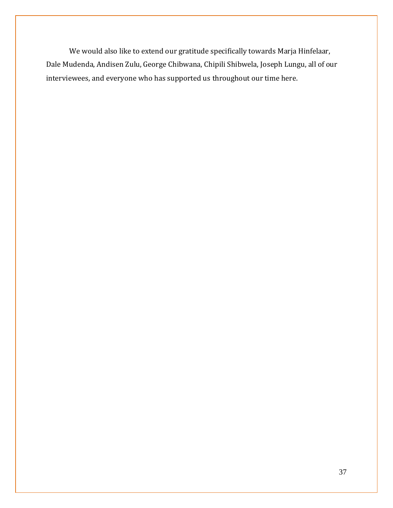We would also like to extend our gratitude specifically towards Marja Hinfelaar, Dale Mudenda, Andisen Zulu, George Chibwana, Chipili Shibwela, Joseph Lungu, all of our interviewees, and everyone who has supported us throughout our time here.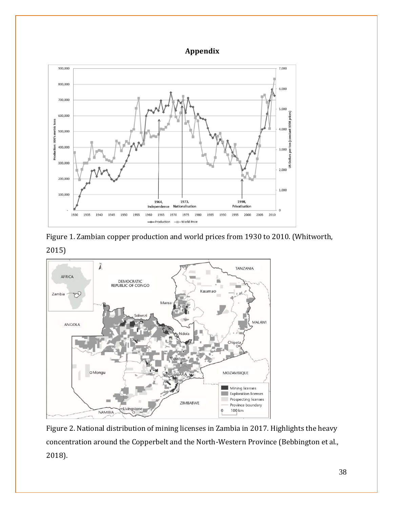# **Appendix**







Figure 2. National distribution of mining licenses in Zambia in 2017. Highlights the heavy concentration around the Copperbelt and the North-Western Province (Bebbington et al., 2018).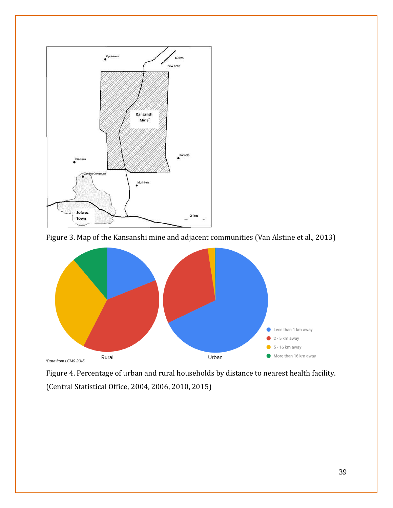

Figure 3. Map of the Kansanshi mine and adjacent communities (Van Alstine et al., 2013)



Figure 4. Percentage of urban and rural households by distance to nearest health facility. (Central Statistical Office, 2004, 2006, 2010, 2015)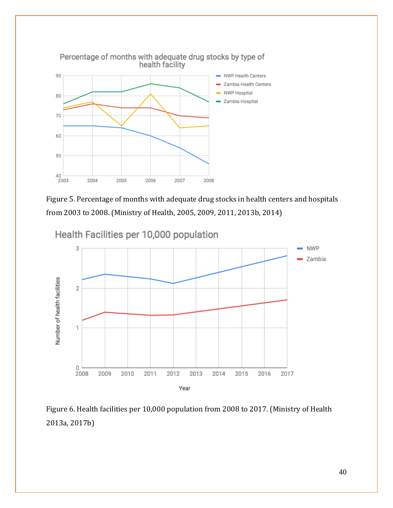

Figure 5. Percentage of months with adequate drug stocks in health centers and hospitals from 2003 to 2008. (Ministry of Health, 2005, 2009, 2011, 2013b, 2014)



Figure 6. Health facilities per 10,000 population from 2008 to 2017. (Ministry of Health 2013a, 2017b)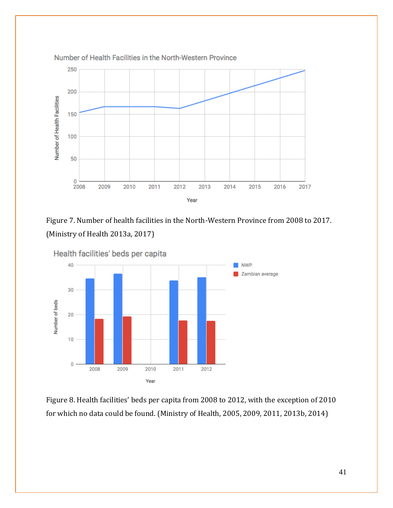

Figure 7. Number of health facilities in the North-Western Province from 2008 to 2017. (Ministry of Health 2013a, 2017)



Figure 8. Health facilities' beds per capita from 2008 to 2012, with the exception of 2010

for which no data could be found. (Ministry of Health, 2005, 2009, 2011, 2013b, 2014)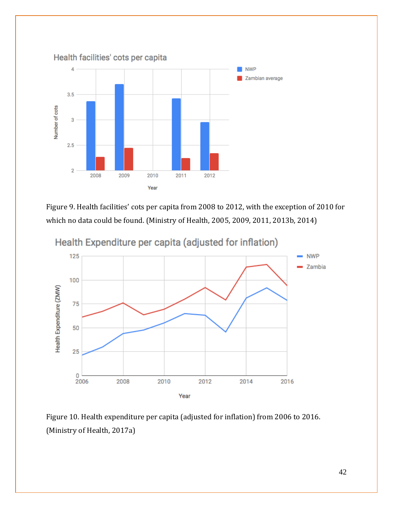

Figure 9. Health facilities' cots per capita from 2008 to 2012, with the exception of 2010 for which no data could be found. (Ministry of Health, 2005, 2009, 2011, 2013b, 2014)



Health Expenditure per capita (adjusted for inflation)

Figure 10. Health expenditure per capita (adjusted for inflation) from 2006 to 2016. (Ministry of Health, 2017a)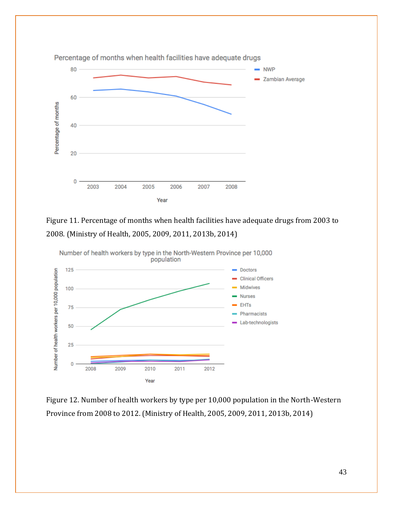

Figure 11. Percentage of months when health facilities have adequate drugs from 2003 to 2008. (Ministry of Health, 2005, 2009, 2011, 2013b, 2014)



Figure 12. Number of health workers by type per 10,000 population in the North-Western Province from 2008 to 2012. (Ministry of Health, 2005, 2009, 2011, 2013b, 2014)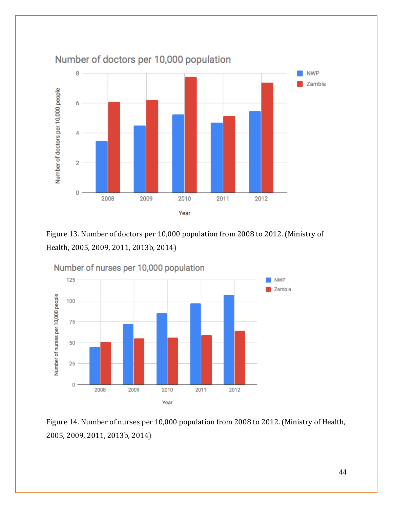

Number of doctors per 10,000 population

Figure 13. Number of doctors per 10,000 population from 2008 to 2012. (Ministry of Health, 2005, 2009, 2011, 2013b, 2014)



Figure 14. Number of nurses per 10,000 population from 2008 to 2012. (Ministry of Health, 2005, 2009, 2011, 2013b, 2014)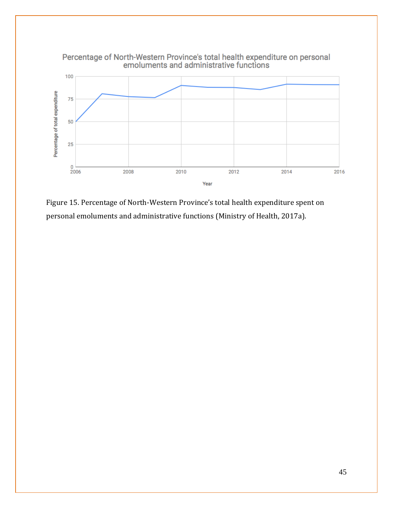

Figure 15. Percentage of North-Western Province's total health expenditure spent on personal emoluments and administrative functions (Ministry of Health, 2017a).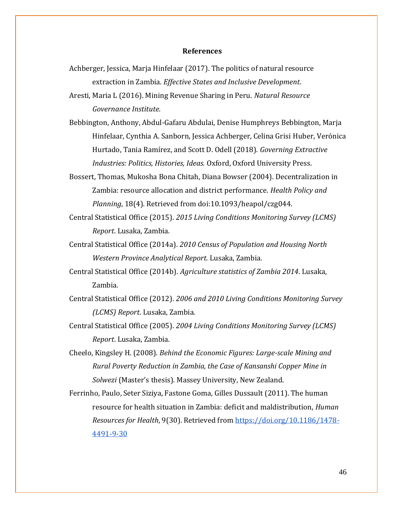#### **References**

Achberger, Jessica, Marja Hinfelaar (2017). The politics of natural resource extraction in Zambia. *Effective States and Inclusive Development*.

Aresti, Maria L (2016). Mining Revenue Sharing in Peru. *Natural Resource Governance Institute*.

- Bebbington, Anthony, Abdul-Gafaru Abdulai, Denise Humphreys Bebbington, Marja Hinfelaar, Cynthia A. Sanborn, Jessica Achberger, Celina Grisi Huber, Verónica Hurtado, Tania Ramírez, and Scott D. Odell (2018). *Governing Extractive Industries: Politics, Histories, Ideas.* Oxford, Oxford University Press.
- Bossert, Thomas, Mukosha Bona Chitah, Diana Bowser (2004). Decentralization in Zambia: resource allocation and district performance. *Health Policy and Planning*, 18(4). Retrieved from doi:10.1093/heapol/czg044.
- Central Statistical Office (2015). *2015 Living Conditions Monitoring Survey (LCMS) Report*. Lusaka, Zambia.
- Central Statistical Office (2014a). *2010 Census of Population and Housing North Western Province Analytical Report.* Lusaka, Zambia.
- Central Statistical Office (2014b). *Agriculture statistics of Zambia 2014*. Lusaka, Zambia.
- Central Statistical Office (2012). *2006 and 2010 Living Conditions Monitoring Survey (LCMS) Report*. Lusaka, Zambia.
- Central Statistical Office (2005). *2004 Living Conditions Monitoring Survey (LCMS) Report*. Lusaka, Zambia.
- Cheelo, Kingsley H. (2008). *Behind the Economic Figures: Large-scale Mining and Rural Poverty Reduction in Zambia, the Case of Kansanshi Copper Mine in Solwezi* (Master's thesis). Massey University, New Zealand.

Ferrinho, Paulo, Seter Siziya, Fastone Goma, Gilles Dussault (2011). The human resource for health situation in Zambia: deficit and maldistribution, *Human Resources for Health*, 9(30). Retrieved fro[m https://doi.org/10.1186/1478-](https://doi.org/10.1186/1478-4491-9-30) [4491-9-30](https://doi.org/10.1186/1478-4491-9-30)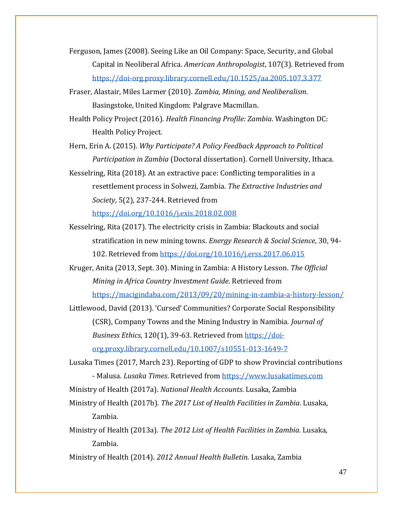- Ferguson, James (2008). Seeing Like an Oil Company: Space, Security, and Global Capital in Neoliberal Africa. *American Anthropologist*, 107(3). Retrieved from <https://doi-org.proxy.library.cornell.edu/10.1525/aa.2005.107.3.377>
- Fraser, Alastair, Miles Larmer (2010). *Zambia, Mining, and Neoliberalism*. Basingstoke, United Kingdom: Palgrave Macmillan.
- Health Policy Project (2016). *Health Financing Profile: Zambia*. Washington DC: Health Policy Project.
- Hern, Erin A. (2015). *Why Participate? A Policy Feedback Approach to Political Participation in Zambia* (Doctoral dissertation). Cornell University, Ithaca.
- Kesselring, Rita (2018). At an extractive pace: Conflicting temporalities in a resettlement process in Solwezi, Zambia. *The Extractive Industries and Society*, 5(2), 237-244. Retrieved from

<https://doi.org/10.1016/j.exis.2018.02.008>

- Kesselring, Rita (2017). The electricity crisis in Zambia: Blackouts and social stratification in new mining towns. *Energy Research & Social Science*, 30, 94- 102. Retrieved from<https://doi.org/10.1016/j.erss.2017.06.015>
- Kruger, Anita (2013, Sept. 30). Mining in Zambia: A History Lesson. *The Official Mining in Africa Country Investment Guide*. Retrieved from <https://macigindaba.com/2013/09/20/mining-in-zambia-a-history-lesson/>
- Littlewood, David (2013). 'Cursed' Communities? Corporate Social Responsibility (CSR), Company Towns and the Mining Industry in Namibia. *Journal of Business Ethics*, 120(1), 39-63. Retrieved from [https://doi](https://doi-org.proxy.library.cornell.edu/10.1007/s10551-013-1649-7)[org.proxy.library.cornell.edu/10.1007/s10551-013-1649-7](https://doi-org.proxy.library.cornell.edu/10.1007/s10551-013-1649-7)
- Lusaka Times (2017, March 23). Reporting of GDP to show Provincial contributions - Malusa. *Lusaka Times*. Retrieved from [https://www.lusakatimes.com](https://www.lusakatimes.com/) Ministry of Health (2017a). *National Health Accounts*. Lusaka, Zambia
- Ministry of Health (2017b). *The 2017 List of Health Facilities in Zambia*. Lusaka, Zambia.
- Ministry of Health (2013a). *The 2012 List of Health Facilities in Zambia*. Lusaka, Zambia.

Ministry of Health (2014). *2012 Annual Health Bulletin.* Lusaka, Zambia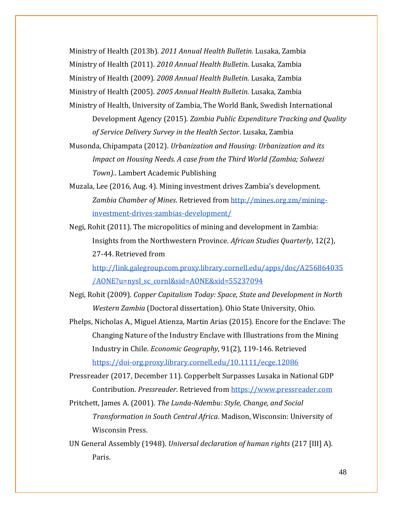Ministry of Health (2013b). *2011 Annual Health Bulletin.* Lusaka, Zambia

Ministry of Health (2011). *2010 Annual Health Bulletin.* Lusaka, Zambia

Ministry of Health (2009). *2008 Annual Health Bulletin.* Lusaka, Zambia

Ministry of Health (2005). *2005 Annual Health Bulletin.* Lusaka, Zambia

- Ministry of Health, University of Zambia, The World Bank, Swedish International Development Agency (2015). *Zambia Public Expenditure Tracking and Quality of Service Delivery Survey in the Health Sector*. Lusaka, Zambia
- Musonda, Chipampata (2012). *Urbanization and Housing: Urbanization and its Impact on Housing Needs. A case from the Third World (Zambia; Solwezi Town).*. Lambert Academic Publishing
- Muzala, Lee (2016, Aug. 4). Mining investment drives Zambia's development. *Zambia Chamber of Mines*. Retrieved from [http://mines.org.zm/mining](http://mines.org.zm/mining-investment-drives-zambias-development/)[investment-drives-zambias-development/](http://mines.org.zm/mining-investment-drives-zambias-development/)
- Negi, Rohit (2011). The micropolitics of mining and development in Zambia: Insights from the Northwestern Province. *African Studies Quarterly*, 12(2), 27-44. Retrieved from

[http://link.galegroup.com.proxy.library.cornell.edu/apps/doc/A256864035](http://link.galegroup.com.proxy.library.cornell.edu/apps/doc/A256864035/AONE?u=nysl_sc_cornl&sid=AONE&xid=55237094) [/AONE?u=nysl\\_sc\\_cornl&sid=AONE&xid=55237094](http://link.galegroup.com.proxy.library.cornell.edu/apps/doc/A256864035/AONE?u=nysl_sc_cornl&sid=AONE&xid=55237094)

- Negi, Rohit (2009). *Copper Capitalism Today: Space, State and Development in North Western Zambia* (Doctoral dissertation). Ohio State University, Ohio.
- Phelps, Nicholas A., Miguel Atienza, Martin Arias (2015). Encore for the Enclave: The Changing Nature of the Industry Enclave with Illustrations from the Mining Industry in Chile. *Economic Geography*, 91(2), 119-146. Retrieved <https://doi-org.proxy.library.cornell.edu/10.1111/ecge.12086>

Pressreader (2017, December 11). Copperbelt Surpasses Lusaka in National GDP Contribution. *Pressreader*. Retrieved from [https://www.pressreader.com](https://www.pressreader.com/)

- Pritchett, James A. (2001). *The Lunda-Ndembu: Style, Change, and Social Transformation in South Central Africa*. Madison, Wisconsin: University of Wisconsin Press.
- UN General Assembly (1948). *Universal declaration of human rights* (217 [III] A). Paris.